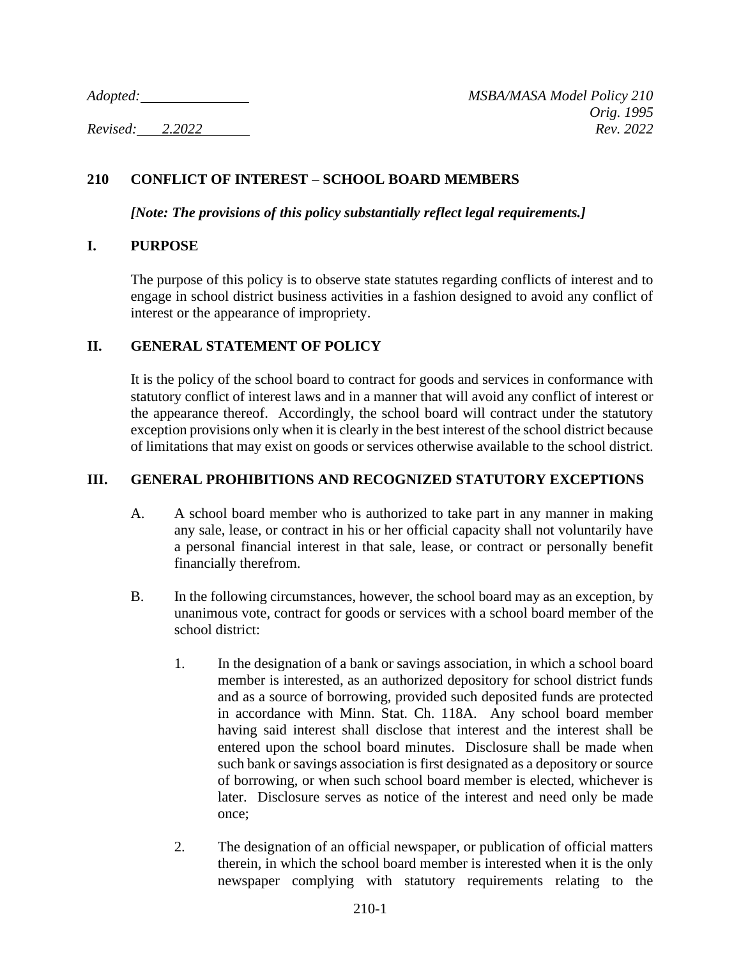# **210 CONFLICT OF INTEREST** – **SCHOOL BOARD MEMBERS**

*[Note: The provisions of this policy substantially reflect legal requirements.]*

### **I. PURPOSE**

The purpose of this policy is to observe state statutes regarding conflicts of interest and to engage in school district business activities in a fashion designed to avoid any conflict of interest or the appearance of impropriety.

### **II. GENERAL STATEMENT OF POLICY**

It is the policy of the school board to contract for goods and services in conformance with statutory conflict of interest laws and in a manner that will avoid any conflict of interest or the appearance thereof. Accordingly, the school board will contract under the statutory exception provisions only when it is clearly in the best interest of the school district because of limitations that may exist on goods or services otherwise available to the school district.

## **III. GENERAL PROHIBITIONS AND RECOGNIZED STATUTORY EXCEPTIONS**

- A. A school board member who is authorized to take part in any manner in making any sale, lease, or contract in his or her official capacity shall not voluntarily have a personal financial interest in that sale, lease, or contract or personally benefit financially therefrom.
- B. In the following circumstances, however, the school board may as an exception, by unanimous vote, contract for goods or services with a school board member of the school district:
	- 1. In the designation of a bank or savings association, in which a school board member is interested, as an authorized depository for school district funds and as a source of borrowing, provided such deposited funds are protected in accordance with Minn. Stat. Ch. 118A. Any school board member having said interest shall disclose that interest and the interest shall be entered upon the school board minutes. Disclosure shall be made when such bank or savings association is first designated as a depository or source of borrowing, or when such school board member is elected, whichever is later. Disclosure serves as notice of the interest and need only be made once;
	- 2. The designation of an official newspaper, or publication of official matters therein, in which the school board member is interested when it is the only newspaper complying with statutory requirements relating to the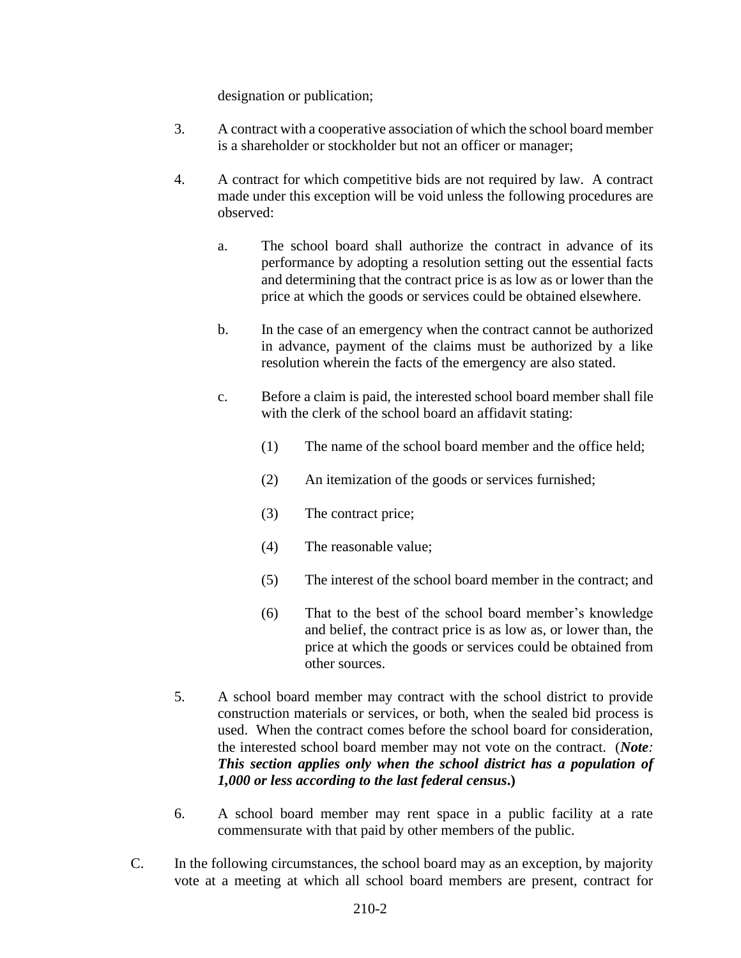designation or publication;

- 3. A contract with a cooperative association of which the school board member is a shareholder or stockholder but not an officer or manager;
- 4. A contract for which competitive bids are not required by law. A contract made under this exception will be void unless the following procedures are observed:
	- a. The school board shall authorize the contract in advance of its performance by adopting a resolution setting out the essential facts and determining that the contract price is as low as or lower than the price at which the goods or services could be obtained elsewhere.
	- b. In the case of an emergency when the contract cannot be authorized in advance, payment of the claims must be authorized by a like resolution wherein the facts of the emergency are also stated.
	- c. Before a claim is paid, the interested school board member shall file with the clerk of the school board an affidavit stating:
		- (1) The name of the school board member and the office held;
		- (2) An itemization of the goods or services furnished;
		- (3) The contract price;
		- (4) The reasonable value;
		- (5) The interest of the school board member in the contract; and
		- (6) That to the best of the school board member's knowledge and belief, the contract price is as low as, or lower than, the price at which the goods or services could be obtained from other sources.
- 5. A school board member may contract with the school district to provide construction materials or services, or both, when the sealed bid process is used. When the contract comes before the school board for consideration, the interested school board member may not vote on the contract. (*Note: This section applies only when the school district has a population of 1,000 or less according to the last federal census***.)**
- 6. A school board member may rent space in a public facility at a rate commensurate with that paid by other members of the public.
- C. In the following circumstances, the school board may as an exception, by majority vote at a meeting at which all school board members are present, contract for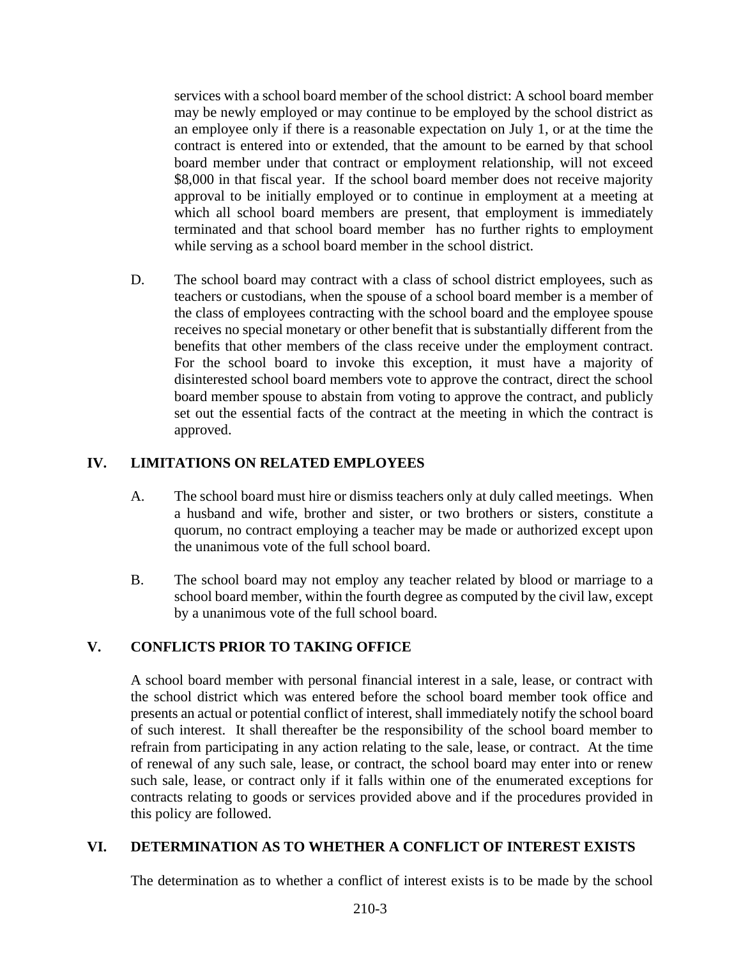services with a school board member of the school district: A school board member may be newly employed or may continue to be employed by the school district as an employee only if there is a reasonable expectation on July 1, or at the time the contract is entered into or extended, that the amount to be earned by that school board member under that contract or employment relationship, will not exceed \$8,000 in that fiscal year. If the school board member does not receive majority approval to be initially employed or to continue in employment at a meeting at which all school board members are present, that employment is immediately terminated and that school board member has no further rights to employment while serving as a school board member in the school district.

D. The school board may contract with a class of school district employees, such as teachers or custodians, when the spouse of a school board member is a member of the class of employees contracting with the school board and the employee spouse receives no special monetary or other benefit that is substantially different from the benefits that other members of the class receive under the employment contract. For the school board to invoke this exception, it must have a majority of disinterested school board members vote to approve the contract, direct the school board member spouse to abstain from voting to approve the contract, and publicly set out the essential facts of the contract at the meeting in which the contract is approved.

# **IV. LIMITATIONS ON RELATED EMPLOYEES**

- A. The school board must hire or dismiss teachers only at duly called meetings. When a husband and wife, brother and sister, or two brothers or sisters, constitute a quorum, no contract employing a teacher may be made or authorized except upon the unanimous vote of the full school board.
- B. The school board may not employ any teacher related by blood or marriage to a school board member, within the fourth degree as computed by the civil law, except by a unanimous vote of the full school board.

# **V. CONFLICTS PRIOR TO TAKING OFFICE**

A school board member with personal financial interest in a sale, lease, or contract with the school district which was entered before the school board member took office and presents an actual or potential conflict of interest, shall immediately notify the school board of such interest. It shall thereafter be the responsibility of the school board member to refrain from participating in any action relating to the sale, lease, or contract. At the time of renewal of any such sale, lease, or contract, the school board may enter into or renew such sale, lease, or contract only if it falls within one of the enumerated exceptions for contracts relating to goods or services provided above and if the procedures provided in this policy are followed.

# **VI. DETERMINATION AS TO WHETHER A CONFLICT OF INTEREST EXISTS**

The determination as to whether a conflict of interest exists is to be made by the school